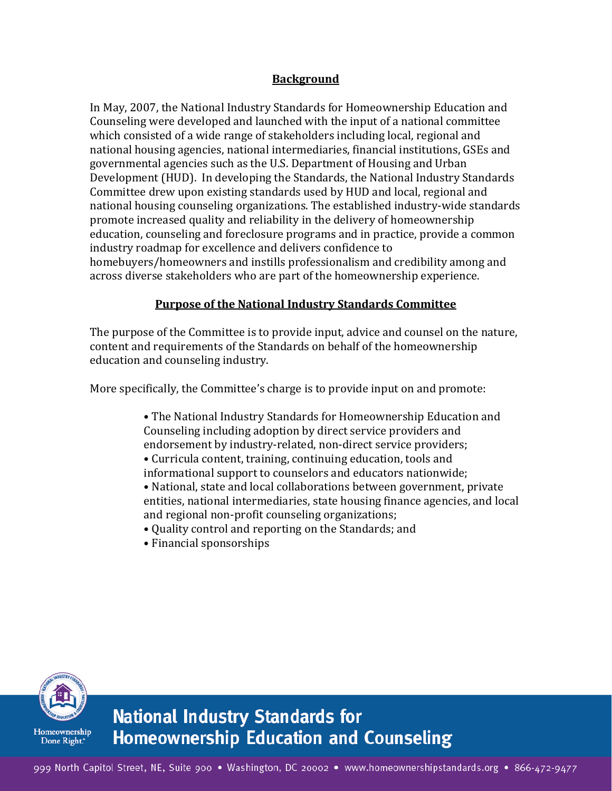## **Background**

In May, 2007, the National Industry Standards for Homeownership Education and Counseling were developed and launched with the input of a national committee which consisted of a wide range of stakeholders including local, regional and national housing agencies, national intermediaries, financial institutions, GSEs and governmental agencies such as the U.S. Department of Housing and Urban Development (HUD). In developing the Standards, the National Industry Standards Committee drew upon existing standards used by HUD and local, regional and national housing counseling organizations. The established industry-wide standards promote increased quality and reliability in the delivery of homeownership education, counseling and foreclosure programs and in practice, provide a common industry roadmap for excellence and delivers confidence to homebuyers/homeowners and instills professionalism and credibility among and across diverse stakeholders who are part of the homeownership experience.

#### **Purpose of the National Industry Standards Committee**

The purpose of the Committee is to provide input, advice and counsel on the nature, content and requirements of the Standards on behalf of the homeownership education and counseling industry.

More specifically, the Committee's charge is to provide input on and promote:

• The National Industry Standards for Homeownership Education and Counseling including adoption by direct service providers and endorsement by industry-related, non-direct service providers; • Curricula content, training, continuing education, tools and informational support to counselors and educators nationwide;

• National, state and local collaborations between government, private entities, national intermediaries, state housing finance agencies, and local and regional non-profit counseling organizations;

• Quality control and reporting on the Standards; and

• Financial sponsorships



**National Industry Standards for Homeownership Education and Counseling**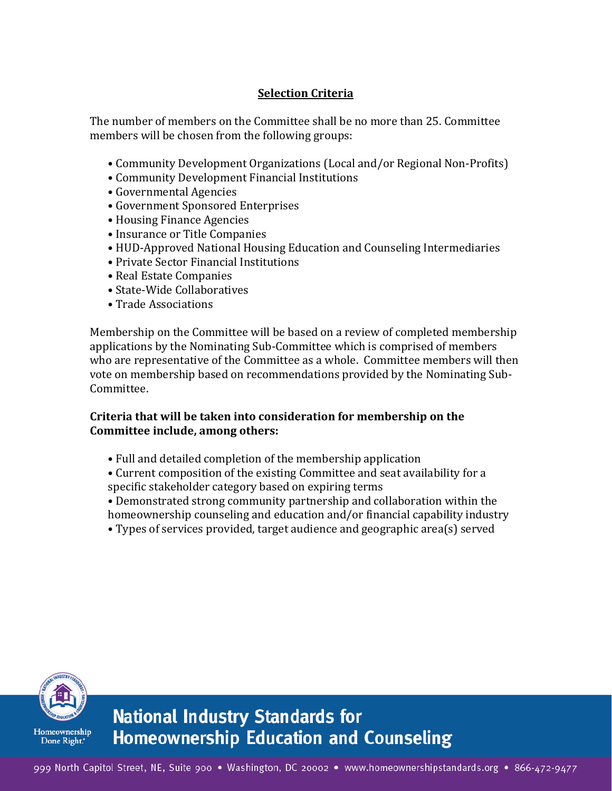# **Selection Criteria**

The number of members on the Committee shall be no more than 25. Committee members will be chosen from the following groups:

- Community Development Organizations (Local and/or Regional Non-Profits)
- Community Development Financial Institutions
- Governmental Agencies
- Government Sponsored Enterprises
- Housing Finance Agencies
- Insurance or Title Companies
- HUD-Approved National Housing Education and Counseling Intermediaries
- Private Sector Financial Institutions
- Real Estate Companies
- State-Wide Collaboratives
- Trade Associations

Membership on the Committee will be based on a review of completed membership applications by the Nominating Sub-Committee which is comprised of members who are representative of the Committee as a whole. Committee members will then vote on membership based on recommendations provided by the Nominating Sub-Committee.

#### **Criteria that will be taken into consideration for membership on the Committee include, among others:**

- Full and detailed completion of the membership application
- Current composition of the existing Committee and seat availability for a specific stakeholder category based on expiring terms
- Demonstrated strong community partnership and collaboration within the homeownership counseling and education and/or financial capability industry
- Types of services provided, target audience and geographic area(s) served



# **National Industry Standards for Homeownership Education and Counseling**